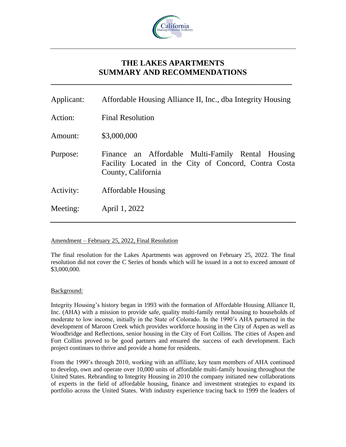

# **THE LAKES APARTMENTS SUMMARY AND RECOMMENDATIONS**

**\_\_\_\_\_\_\_\_\_\_\_\_\_\_\_\_\_\_\_\_\_\_\_\_\_\_\_\_\_\_\_\_\_\_\_\_\_\_\_\_\_\_\_\_\_\_\_\_\_\_\_\_\_\_\_\_\_\_\_\_\_**

| Applicant: | Affordable Housing Alliance II, Inc., dba Integrity Housing                                                                      |
|------------|----------------------------------------------------------------------------------------------------------------------------------|
| Action:    | <b>Final Resolution</b>                                                                                                          |
| Amount:    | \$3,000,000                                                                                                                      |
| Purpose:   | Finance an Affordable Multi-Family Rental Housing<br>Facility Located in the City of Concord, Contra Costa<br>County, California |
| Activity:  | <b>Affordable Housing</b>                                                                                                        |
| Meeting:   | April 1, 2022                                                                                                                    |
|            |                                                                                                                                  |

# Amendment – February 25, 2022, Final Resolution

The final resolution for the Lakes Apartments was approved on February 25, 2022. The final resolution did not cover the C Series of bonds which will be issued in a not to exceed amount of \$3,000,000.

# Background:

Integrity Housing's history began in 1993 with the formation of Affordable Housing Alliance II, Inc. (AHA) with a mission to provide safe, quality multi-family rental housing to households of moderate to low income, initially in the State of Colorado. In the 1990's AHA partnered in the development of Maroon Creek which provides workforce housing in the City of Aspen as well as Woodbridge and Reflections, senior housing in the City of Fort Collins. The cities of Aspen and Fort Collins proved to be good partners and ensured the success of each development. Each project continues to thrive and provide a home for residents.

From the 1990's through 2010, working with an affiliate, key team members of AHA continued to develop, own and operate over 10,000 units of affordable multi-family housing throughout the United States. Rebranding to Integrity Housing in 2010 the company initiated new collaborations of experts in the field of affordable housing, finance and investment strategies to expand its portfolio across the United States. With industry experience tracing back to 1999 the leaders of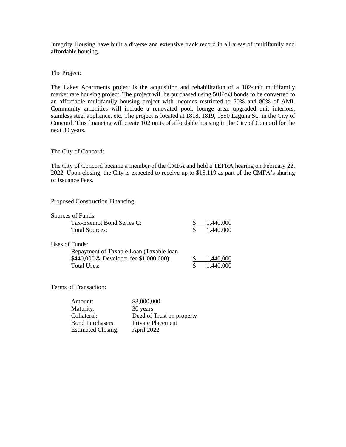Integrity Housing have built a diverse and extensive track record in all areas of multifamily and affordable housing.

#### The Project:

The Lakes Apartments project is the acquisition and rehabilitation of a 102-unit multifamily market rate housing project. The project will be purchased using 501(c)3 bonds to be converted to an affordable multifamily housing project with incomes restricted to 50% and 80% of AMI. Community amenities will include a renovated pool, lounge area, upgraded unit interiors, stainless steel appliance, etc. The project is located at 1818, 1819, 1850 Laguna St., in the City of Concord. This financing will create 102 units of affordable housing in the City of Concord for the next 30 years.

#### The City of Concord:

The City of Concord became a member of the CMFA and held a TEFRA hearing on February 22, 2022. Upon closing, the City is expected to receive up to \$15,119 as part of the CMFA's sharing of Issuance Fees.

## Proposed Construction Financing:

| Sources of Funds:<br>Tax-Exempt Bond Series C:<br><b>Total Sources:</b>                                              | S. | 1,440,000<br>1,440,000 |
|----------------------------------------------------------------------------------------------------------------------|----|------------------------|
| Uses of Funds:<br>Repayment of Taxable Loan (Taxable loan)<br>\$440,000 & Developer fee \$1,000,000):<br>Total Uses: | S  | 1,440,000<br>1,440,000 |

# Terms of Transaction:

| Amount:                   | \$3,000,000               |
|---------------------------|---------------------------|
| Maturity:                 | 30 years                  |
| Collateral:               | Deed of Trust on property |
| <b>Bond Purchasers:</b>   | Private Placement         |
| <b>Estimated Closing:</b> | April 2022                |